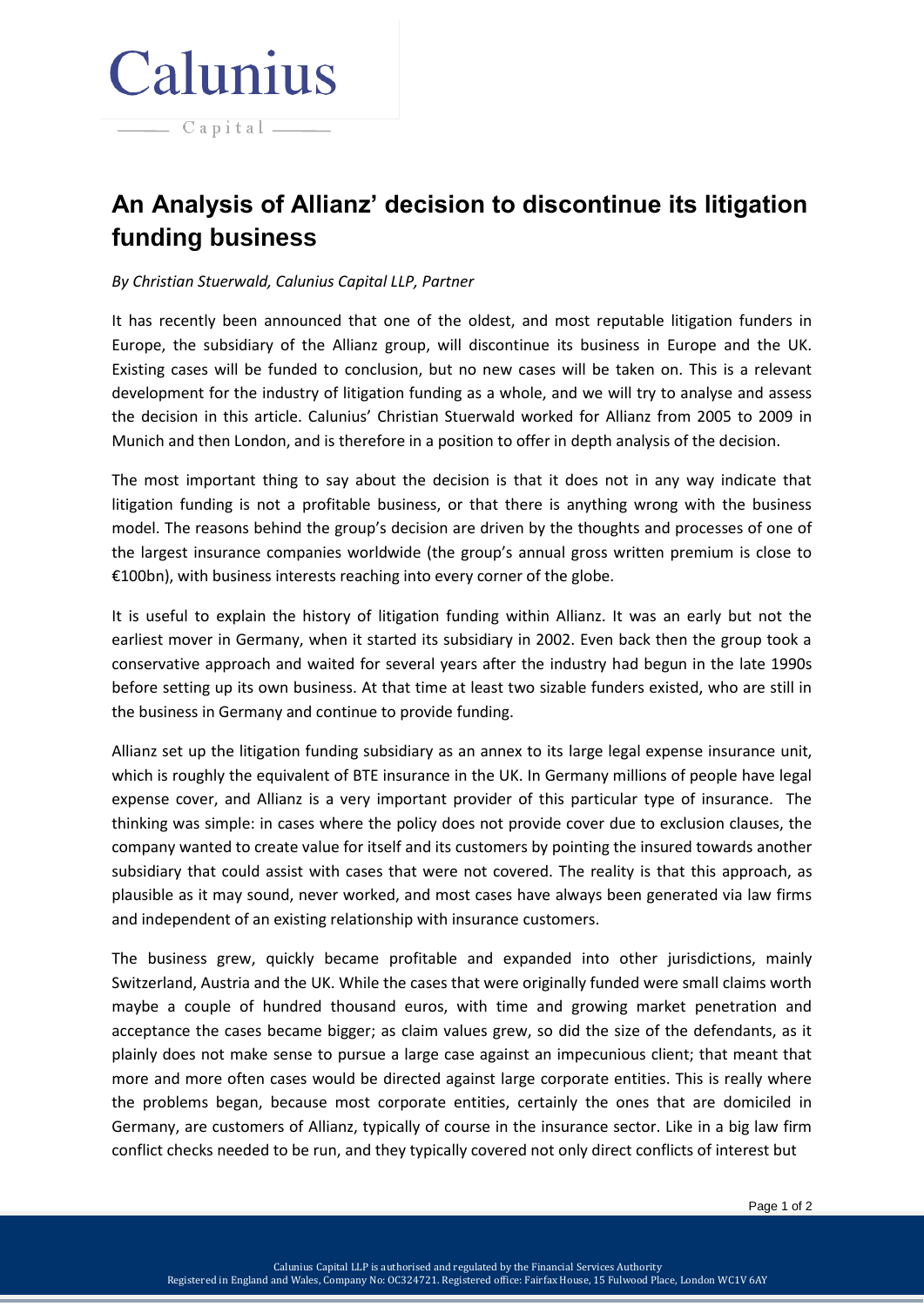## Calunius

 $\overline{\phantom{a}}$   $\overline{\phantom{a}}$   $\overline{\phantom{a}}$   $\overline{\phantom{a}}$   $\overline{\phantom{a}}$   $\overline{\phantom{a}}$   $\overline{\phantom{a}}$   $\overline{\phantom{a}}$   $\overline{\phantom{a}}$   $\overline{\phantom{a}}$   $\overline{\phantom{a}}$   $\overline{\phantom{a}}$   $\overline{\phantom{a}}$   $\overline{\phantom{a}}$   $\overline{\phantom{a}}$   $\overline{\phantom{a}}$   $\overline{\phantom{a}}$   $\overline{\phantom{a}}$   $\overline{\$ 

**An Analysis of Allianz' decision to discontinue its litigation funding business**

## *By Christian Stuerwald, Calunius Capital LLP, Partner*

It has recently been announced that one of the oldest, and most reputable litigation funders in Europe, the subsidiary of the Allianz group, will discontinue its business in Europe and the UK. Existing cases will be funded to conclusion, but no new cases will be taken on. This is a relevant development for the industry of litigation funding as a whole, and we will try to analyse and assess the decision in this article. Calunius' Christian Stuerwald worked for Allianz from 2005 to 2009 in Munich and then London, and is therefore in a position to offer in depth analysis of the decision.

The most important thing to say about the decision is that it does not in any way indicate that litigation funding is not a profitable business, or that there is anything wrong with the business model. The reasons behind the group's decision are driven by the thoughts and processes of one of the largest insurance companies worldwide (the group's annual gross written premium is close to €100bn), with business interests reaching into every corner of the globe.

It is useful to explain the history of litigation funding within Allianz. It was an early but not the earliest mover in Germany, when it started its subsidiary in 2002. Even back then the group took a conservative approach and waited for several years after the industry had begun in the late 1990s before setting up its own business. At that time at least two sizable funders existed, who are still in the business in Germany and continue to provide funding.

Allianz set up the litigation funding subsidiary as an annex to its large legal expense insurance unit, which is roughly the equivalent of BTE insurance in the UK. In Germany millions of people have legal expense cover, and Allianz is a very important provider of this particular type of insurance. The thinking was simple: in cases where the policy does not provide cover due to exclusion clauses, the company wanted to create value for itself and its customers by pointing the insured towards another subsidiary that could assist with cases that were not covered. The reality is that this approach, as plausible as it may sound, never worked, and most cases have always been generated via law firms and independent of an existing relationship with insurance customers.

The business grew, quickly became profitable and expanded into other jurisdictions, mainly Switzerland, Austria and the UK. While the cases that were originally funded were small claims worth maybe a couple of hundred thousand euros, with time and growing market penetration and acceptance the cases became bigger; as claim values grew, so did the size of the defendants, as it plainly does not make sense to pursue a large case against an impecunious client; that meant that more and more often cases would be directed against large corporate entities. This is really where the problems began, because most corporate entities, certainly the ones that are domiciled in Germany, are customers of Allianz, typically of course in the insurance sector. Like in a big law firm conflict checks needed to be run, and they typically covered not only direct conflicts of interest but